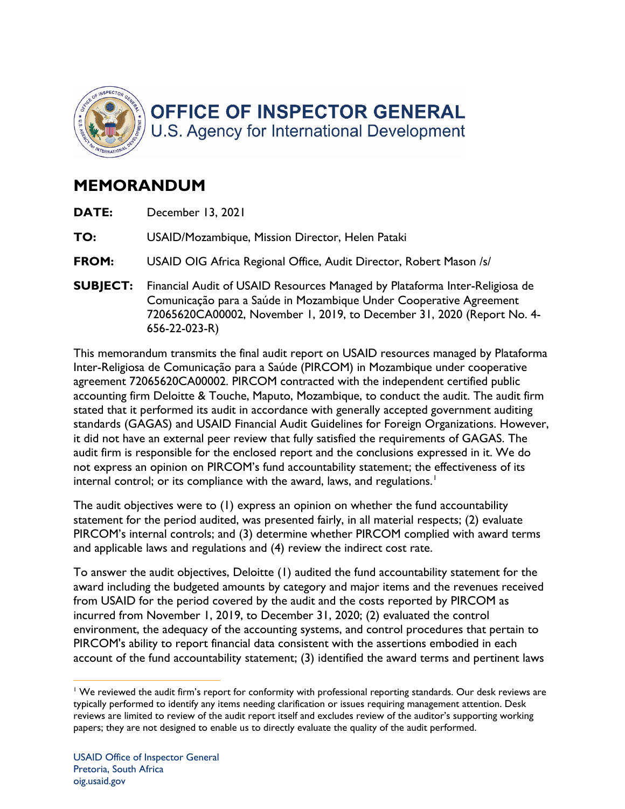

## **MEMORANDUM**

- **DATE:** December 13, 2021
- **TO:** USAID/Mozambique, Mission Director, Helen Pataki
- **FROM:** USAID OIG Africa Regional Office, Audit Director, Robert Mason /s/
- **SUBJECT:** Financial Audit of USAID Resources Managed by Plataforma Inter-Religiosa de Comunicação para a Saúde in Mozambique Under Cooperative Agreement 72065620CA00002, November 1, 2019, to December 31, 2020 (Report No. 4- 656-22-023-R)

 agreement 72065620CA00002. PIRCOM contracted with the independent certified public accounting firm Deloitte & Touche, Maputo, Mozambique, to conduct the audit. The audit firm stated that it performed its audit in accordance with generally accepted government auditing standards (GAGAS) and USAID Financial Audit Guidelines for Foreign Organizations. However, it did not have an external peer review that fully satisfied the requirements of GAGAS. The audit firm is responsible for the enclosed report and the conclusions expressed in it. We do not express an opinion on PIRCOM's fund accountability statement; the effectiveness of its This memorandum transmits the final audit report on USAID resources managed by Plataforma Inter-Religiosa de Comunicação para a Saúde (PIRCOM) in Mozambique under cooperative internal control; or its compliance with the award, laws, and regulations.<sup>1</sup>

The audit objectives were to (1) express an opinion on whether the fund accountability statement for the period audited, was presented fairly, in all material respects; (2) evaluate PIRCOM's internal controls; and (3) determine whether PIRCOM complied with award terms and applicable laws and regulations and (4) review the indirect cost rate.

 To answer the audit objectives, Deloitte (1) audited the fund accountability statement for the from USAID for the period covered by the audit and the costs reported by PIRCOM as environment, the adequacy of the accounting systems, and control procedures that pertain to award including the budgeted amounts by category and major items and the revenues received incurred from November 1, 2019, to December 31, 2020; (2) evaluated the control PIRCOM's ability to report financial data consistent with the assertions embodied in each account of the fund accountability statement; (3) identified the award terms and pertinent laws

 $1$  We reviewed the audit firm's report for conformity with professional reporting standards. Our desk reviews are typically performed to identify any items needing clarification or issues requiring management attention. Desk reviews are limited to review of the audit report itself and excludes review of the auditor's supporting working papers; they are not designed to enable us to directly evaluate the quality of the audit performed.